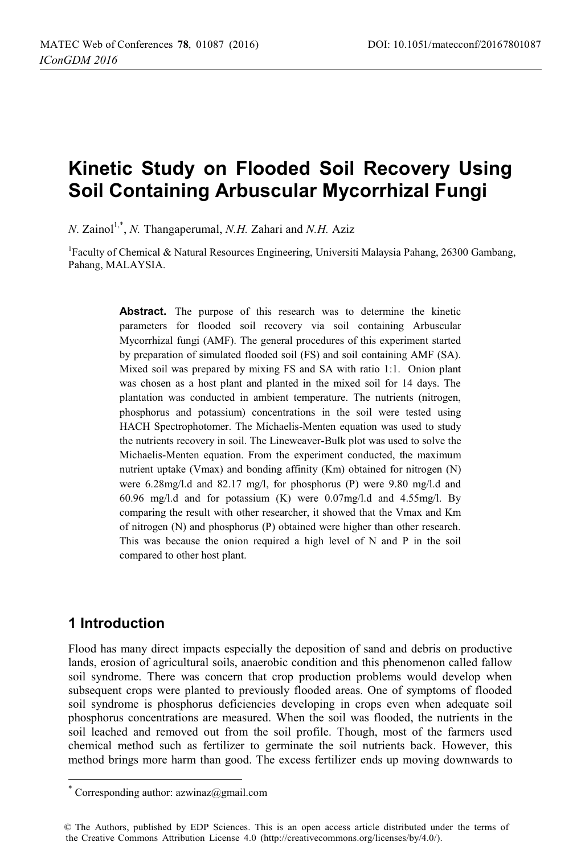# **Kinetic Study on Flooded Soil Recovery Using Soil Containing Arbuscular Mycorrhizal Fungi**

*N*. Zainol<sup>1,\*</sup>, *N*. Thangaperumal, *N.H.* Zahari and *N.H.* Aziz

<sup>1</sup>Faculty of Chemical & Natural Resources Engineering, Universiti Malaysia Pahang, 26300 Gambang, Pahang, MALAYSIA.

> Abstract. The purpose of this research was to determine the kinetic parameters for flooded soil recovery via soil containing Arbuscular Mycorrhizal fungi (AMF). The general procedures of this experiment started by preparation of simulated flooded soil (FS) and soil containing AMF (SA). Mixed soil was prepared by mixing FS and SA with ratio 1:1. Onion plant was chosen as a host plant and planted in the mixed soil for 14 days. The plantation was conducted in ambient temperature. The nutrients (nitrogen, phosphorus and potassium) concentrations in the soil were tested using HACH Spectrophotomer. The Michaelis-Menten equation was used to study the nutrients recovery in soil. The Lineweaver-Bulk plot was used to solve the Michaelis-Menten equation. From the experiment conducted, the maximum nutrient uptake (Vmax) and bonding affinity (Km) obtained for nitrogen (N) were 6.28mg/l.d and 82.17 mg/l, for phosphorus (P) were 9.80 mg/l.d and 60.96 mg/l.d and for potassium (K) were 0.07mg/l.d and 4.55mg/l. By comparing the result with other researcher, it showed that the Vmax and Km of nitrogen (N) and phosphorus (P) obtained were higher than other research. This was because the onion required a high level of N and P in the soil compared to other host plant.

## **1 Introduction**

 $\overline{a}$ 

Flood has many direct impacts especially the deposition of sand and debris on productive lands, erosion of agricultural soils, anaerobic condition and this phenomenon called fallow soil syndrome. There was concern that crop production problems would develop when subsequent crops were planted to previously flooded areas. One of symptoms of flooded soil syndrome is phosphorus deficiencies developing in crops even when adequate soil phosphorus concentrations are measured. When the soil was flooded, the nutrients in the soil leached and removed out from the soil profile. Though, most of the farmers used chemical method such as fertilizer to germinate the soil nutrients back. However, this method brings more harm than good. The excess fertilizer ends up moving downwards to

<sup>\*</sup> Corresponding author: azwinaz@gmail.com

<sup>©</sup> The Authors, published by EDP Sciences. This is an open access article distributed under the terms of the Creative Commons Attribution License 4.0 (http://creativecommons.org/licenses/by/4.0/).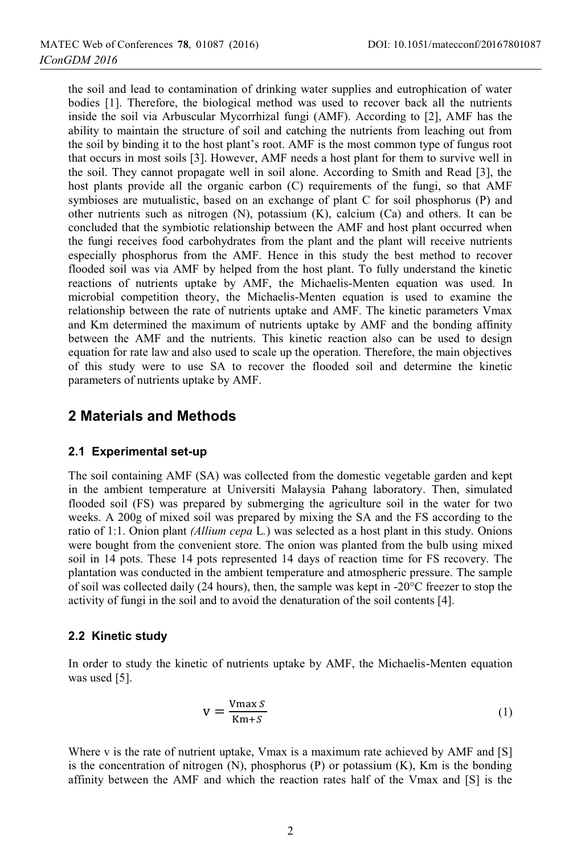the soil and lead to contamination of drinking water supplies and eutrophication of water bodies [1]. Therefore, the biological method was used to recover back all the nutrients inside the soil via Arbuscular Mycorrhizal fungi (AMF). According to [2], AMF has the ability to maintain the structure of soil and catching the nutrients from leaching out from the soil by binding it to the host plant's root. AMF is the most common type of fungus root that occurs in most soils [3]. However, AMF needs a host plant for them to survive well in the soil. They cannot propagate well in soil alone. According to Smith and Read [3], the host plants provide all the organic carbon (C) requirements of the fungi, so that AMF symbioses are mutualistic, based on an exchange of plant C for soil phosphorus (P) and other nutrients such as nitrogen (N), potassium (K), calcium (Ca) and others. It can be concluded that the symbiotic relationship between the AMF and host plant occurred when the fungi receives food carbohydrates from the plant and the plant will receive nutrients especially phosphorus from the AMF. Hence in this study the best method to recover flooded soil was via AMF by helped from the host plant. To fully understand the kinetic reactions of nutrients uptake by AMF, the Michaelis-Menten equation was used. In microbial competition theory, the Michaelis-Menten equation is used to examine the relationship between the rate of nutrients uptake and AMF. The kinetic parameters Vmax and Km determined the maximum of nutrients uptake by AMF and the bonding affinity between the AMF and the nutrients. This kinetic reaction also can be used to design equation for rate law and also used to scale up the operation. Therefore, the main objectives of this study were to use SA to recover the flooded soil and determine the kinetic parameters of nutrients uptake by AMF.

### **2 Materials and Methods**

#### **2.1 Experimental set-up**

The soil containing AMF (SA) was collected from the domestic vegetable garden and kept in the ambient temperature at Universiti Malaysia Pahang laboratory. Then, simulated flooded soil (FS) was prepared by submerging the agriculture soil in the water for two weeks. A 200g of mixed soil was prepared by mixing the SA and the FS according to the ratio of 1:1. Onion plant *(Allium cepa* L*.*) was selected as a host plant in this study. Onions were bought from the convenient store. The onion was planted from the bulb using mixed soil in 14 pots. These 14 pots represented 14 days of reaction time for FS recovery. The plantation was conducted in the ambient temperature and atmospheric pressure. The sample of soil was collected daily (24 hours), then, the sample was kept in -20°C freezer to stop the activity of fungi in the soil and to avoid the denaturation of the soil contents [4].

#### **2.2 Kinetic study**

In order to study the kinetic of nutrients uptake by AMF, the Michaelis-Menten equation was used [5].

$$
v = \frac{V \max S}{Km + S} \tag{1}
$$

Where v is the rate of nutrient uptake, Vmax is a maximum rate achieved by AMF and [S] is the concentration of nitrogen  $(N)$ , phosphorus  $(P)$  or potassium  $(K)$ , Km is the bonding affinity between the AMF and which the reaction rates half of the Vmax and [S] is the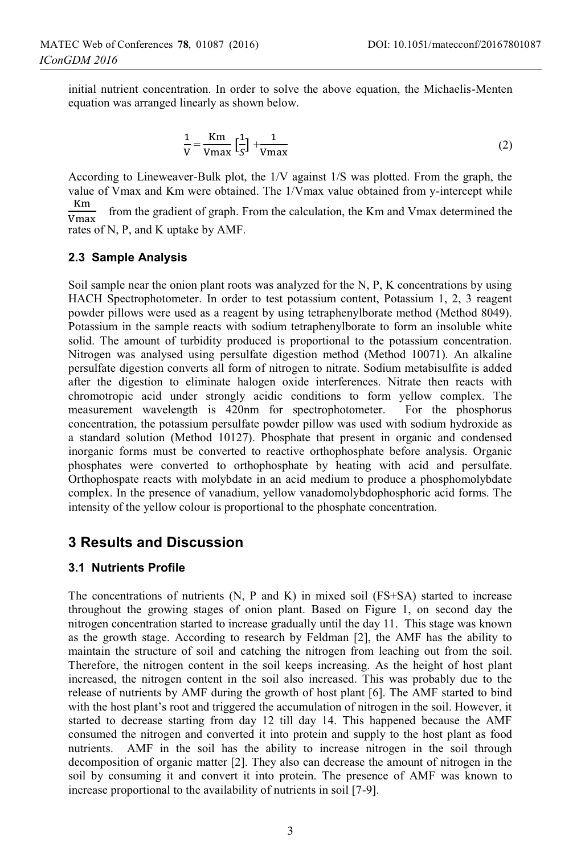initial nutrient concentration. In order to solve the above equation, the Michaelis-Menten equation was arranged linearly as shown below.

$$
\frac{1}{V} = \frac{Km}{Vmax} \left[ \frac{1}{S} \right] + \frac{1}{Vmax}
$$
 (2)

According to Lineweaver-Bulk plot, the 1/V against 1/S was plotted. From the graph, the value of Vmax and Km were obtained. The 1/Vmax value obtained from y-intercept while Km  $\overline{V}$ max from the gradient of graph. From the calculation, the Km and Vmax determined the rates of N, P, and K uptake by AMF.

#### **2.3 Sample Analysis**

Soil sample near the onion plant roots was analyzed for the N, P, K concentrations by using HACH Spectrophotometer. In order to test potassium content, Potassium 1, 2, 3 reagent powder pillows were used as a reagent by using tetraphenylborate method (Method 8049). Potassium in the sample reacts with sodium tetraphenylborate to form an insoluble white solid. The amount of turbidity produced is proportional to the potassium concentration. Nitrogen was analysed using persulfate digestion method (Method 10071). An alkaline persulfate digestion converts all form of nitrogen to nitrate. Sodium metabisulfite is added after the digestion to eliminate halogen oxide interferences. Nitrate then reacts with chromotropic acid under strongly acidic conditions to form yellow complex. The measurement wavelength is 420nm for spectrophotometer. For the phosphorus concentration, the potassium persulfate powder pillow was used with sodium hydroxide as a standard solution (Method 10127). Phosphate that present in organic and condensed inorganic forms must be converted to reactive orthophosphate before analysis. Organic phosphates were converted to orthophosphate by heating with acid and persulfate. Orthophospate reacts with molybdate in an acid medium to produce a phosphomolybdate complex. In the presence of vanadium, yellow vanadomolybdophosphoric acid forms. The intensity of the yellow colour is proportional to the phosphate concentration.

### **3 Results and Discussion**

#### **3.1 Nutrients Profile**

The concentrations of nutrients (N, P and K) in mixed soil (FS+SA) started to increase throughout the growing stages of onion plant. Based on Figure 1, on second day the nitrogen concentration started to increase gradually until the day 11. This stage was known as the growth stage. According to research by Feldman [2], the AMF has the ability to maintain the structure of soil and catching the nitrogen from leaching out from the soil. Therefore, the nitrogen content in the soil keeps increasing. As the height of host plant increased, the nitrogen content in the soil also increased. This was probably due to the release of nutrients by AMF during the growth of host plant [6]. The AMF started to bind with the host plant's root and triggered the accumulation of nitrogen in the soil. However, it started to decrease starting from day 12 till day 14. This happened because the AMF consumed the nitrogen and converted it into protein and supply to the host plant as food nutrients. AMF in the soil has the ability to increase nitrogen in the soil through decomposition of organic matter [2]. They also can decrease the amount of nitrogen in the soil by consuming it and convert it into protein. The presence of AMF was known to increase proportional to the availability of nutrients in soil [7-9].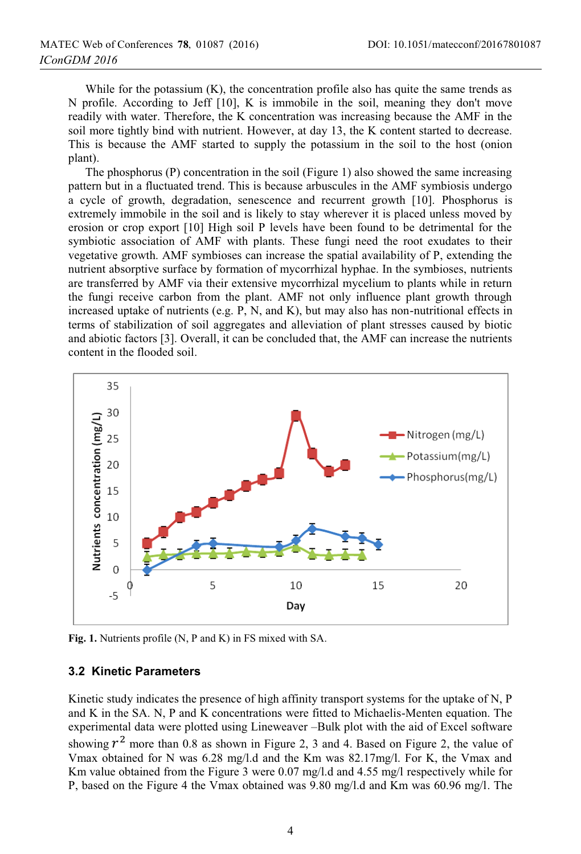While for the potassium (K), the concentration profile also has quite the same trends as N profile. According to Jeff [10], K is immobile in the soil, meaning they don't move readily with water. Therefore, the K concentration was increasing because the AMF in the soil more tightly bind with nutrient. However, at day 13, the K content started to decrease. This is because the AMF started to supply the potassium in the soil to the host (onion plant).

The phosphorus (P) concentration in the soil (Figure 1) also showed the same increasing pattern but in a fluctuated trend. This is because arbuscules in the AMF symbiosis undergo a cycle of growth, degradation, senescence and recurrent growth [10]. Phosphorus is extremely immobile in the soil and is likely to stay wherever it is placed unless moved by erosion or crop export [10] High soil P levels have been found to be detrimental for the symbiotic association of AMF with plants. These fungi need the root exudates to their vegetative growth. AMF symbioses can increase the spatial availability of P, extending the nutrient absorptive surface by formation of mycorrhizal hyphae. In the symbioses, nutrients are transferred by AMF via their extensive mycorrhizal mycelium to plants while in return the fungi receive carbon from the plant. AMF not only influence plant growth through increased uptake of nutrients (e.g. P, N, and K), but may also has non-nutritional effects in terms of stabilization of soil aggregates and alleviation of plant stresses caused by biotic and abiotic factors [3]. Overall, it can be concluded that, the AMF can increase the nutrients content in the flooded soil.



**Fig. 1.** Nutrients profile (N, P and K) in FS mixed with SA.

#### **3.2 Kinetic Parameters**

Kinetic study indicates the presence of high affinity transport systems for the uptake of N, P and K in the SA. N, P and K concentrations were fitted to Michaelis-Menten equation. The experimental data were plotted using Lineweaver –Bulk plot with the aid of Excel software showing  $r^2$  more than 0.8 as shown in Figure 2, 3 and 4. Based on Figure 2, the value of Vmax obtained for N was 6.28 mg/l.d and the Km was 82.17mg/l. For K, the Vmax and Km value obtained from the Figure 3 were 0.07 mg/l.d and 4.55 mg/l respectively while for P, based on the Figure 4 the Vmax obtained was 9.80 mg/l.d and Km was 60.96 mg/l. The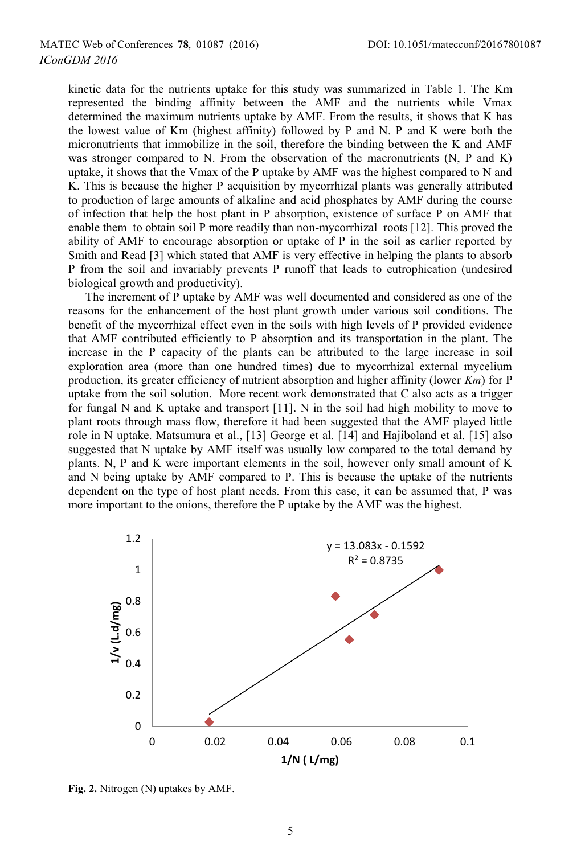kinetic data for the nutrients uptake for this study was summarized in Table 1. The Km represented the binding affinity between the AMF and the nutrients while Vmax determined the maximum nutrients uptake by AMF. From the results, it shows that K has the lowest value of Km (highest affinity) followed by P and N. P and K were both the micronutrients that immobilize in the soil, therefore the binding between the K and AMF was stronger compared to N. From the observation of the macronutrients (N, P and K) uptake, it shows that the Vmax of the P uptake by AMF was the highest compared to N and K. This is because the higher P acquisition by mycorrhizal plants was generally attributed to production of large amounts of alkaline and acid phosphates by AMF during the course of infection that help the host plant in P absorption, existence of surface P on AMF that enable them to obtain soil P more readily than non-mycorrhizal roots [12]. This proved the ability of AMF to encourage absorption or uptake of P in the soil as earlier reported by Smith and Read [3] which stated that AMF is very effective in helping the plants to absorb P from the soil and invariably prevents P runoff that leads to eutrophication (undesired biological growth and productivity).

The increment of P uptake by AMF was well documented and considered as one of the reasons for the enhancement of the host plant growth under various soil conditions. The benefit of the mycorrhizal effect even in the soils with high levels of P provided evidence that AMF contributed efficiently to P absorption and its transportation in the plant. The increase in the P capacity of the plants can be attributed to the large increase in soil exploration area (more than one hundred times) due to mycorrhizal external mycelium production, its greater efficiency of nutrient absorption and higher affinity (lower *Km*) for P uptake from the soil solution. More recent work demonstrated that C also acts as a trigger for fungal N and K uptake and transport [11]. N in the soil had high mobility to move to plant roots through mass flow, therefore it had been suggested that the AMF played little role in N uptake. Matsumura et al., [13] George et al. [14] and Hajiboland et al. [15] also suggested that N uptake by AMF itself was usually low compared to the total demand by plants. N, P and K were important elements in the soil, however only small amount of K and N being uptake by AMF compared to P. This is because the uptake of the nutrients dependent on the type of host plant needs. From this case, it can be assumed that, P was more important to the onions, therefore the P uptake by the AMF was the highest.



**Fig. 2.** Nitrogen (N) uptakes by AMF.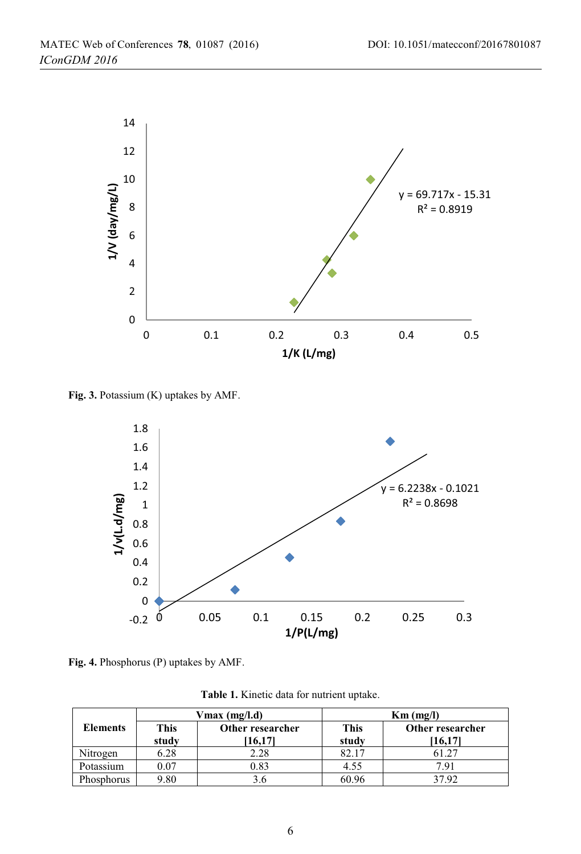

**Fig. 3.** Potassium (K) uptakes by AMF.



**Fig. 4.** Phosphorus (P) uptakes by AMF.

|                 | $V$ max (mg/l.d) |                  | $Km$ (mg/l) |                  |
|-----------------|------------------|------------------|-------------|------------------|
| <b>Elements</b> | This             | Other researcher | This        | Other researcher |
|                 | study            | 16,17            | study       | [16, 17]         |
| Nitrogen        | 6.28             | 2.28             | 82.17       | 61.27            |
| Potassium       | 0.07             | 0.83             | 4.55        | 7.91             |
| Phosphorus      | 9.80             | 3.6              | 60.96       | 37.92            |

**Table 1.** Kinetic data for nutrient uptake.